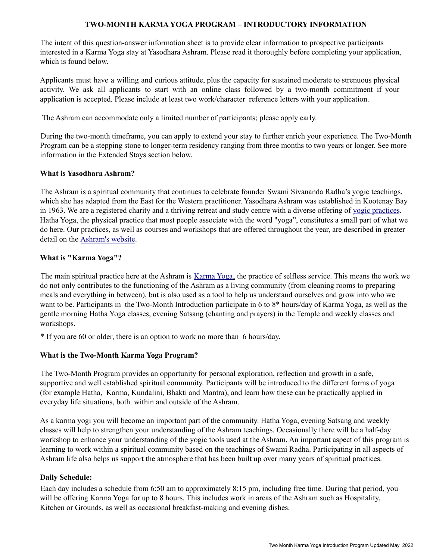## **TWO-MONTH KARMA YOGA PROGRAM – INTRODUCTORY INFORMATION**

The intent of this question-answer information sheet is to provide clear information to prospective participants interested in a Karma Yoga stay at Yasodhara Ashram. Please read it thoroughly before completing your application, which is found below.

Applicants must have a willing and curious attitude, plus the capacity for sustained moderate to strenuous physical activity. We ask all applicants to start with an online class followed by a two-month commitment if your application is accepted. Please include at least two work/character reference letters with your application.

The Ashram can accommodate only a limited number of participants; please apply early.

During the two-month timeframe, you can apply to extend your stay to further enrich your experience. The Two-Month Program can be a stepping stone to longer-term residency ranging from three months to two years or longer. See more information in the Extended Stays section below.

## **What is Yasodhara Ashram?**

The Ashram is a spiritual community that continues to celebrate founder Swami Sivananda Radha's yogic teachings, which she has adapted from the East for the Western practitioner. Yasodhara Ashram was established in Kootenay Bay in 1963. We are a registered charity and a thriving retreat and study centre with a diverse offering of yogic practices. Hatha Yoga, the physical practice that most people associate with the word "yoga", constitutes a small part of what we do here. Our practices, as well as courses and workshops that are offered throughout the year, are described in greater detail on the Ashram's website.

## **What is "Karma Yoga"?**

The main spiritual practice here at the Ashram is Karma Yoga, the practice of selfless service. This means the work we do not only contributes to the functioning of the Ashram as a living community (from cleaning rooms to preparing meals and everything in between), but is also used as a tool to help us understand ourselves and grow into who we want to be. Participants in the Two-Month Introduction participate in 6 to 8\* hours/day of Karma Yoga, as well as the gentle morning Hatha Yoga classes, evening Satsang (chanting and prayers) in the Temple and weekly classes and workshops.

\* If you are 60 or older, there is an option to work no more than 6 hours/day.

# **What is the Two-Month Karma Yoga Program?**

The Two-Month Program provides an opportunity for personal exploration, reflection and growth in a safe, supportive and well established spiritual community. Participants will be introduced to the different forms of yoga (for example Hatha, Karma, Kundalini, Bhakti and Mantra), and learn how these can be practically applied in everyday life situations, both within and outside of the Ashram.

As a karma yogi you will become an important part of the community. Hatha Yoga, evening Satsang and weekly classes will help to strengthen your understanding of the Ashram teachings. Occasionally there will be a half-day workshop to enhance your understanding of the yogic tools used at the Ashram. An important aspect of this program is learning to work within a spiritual community based on the teachings of Swami Radha. Participating in all aspects of Ashram life also helps us support the atmosphere that has been built up over many years of spiritual practices.

## **Daily Schedule:**

Each day includes a schedule from 6:50 am to approximately 8:15 pm, including free time. During that period, you will be offering Karma Yoga for up to 8 hours. This includes work in areas of the Ashram such as Hospitality, Kitchen or Grounds, as well as occasional breakfast-making and evening dishes.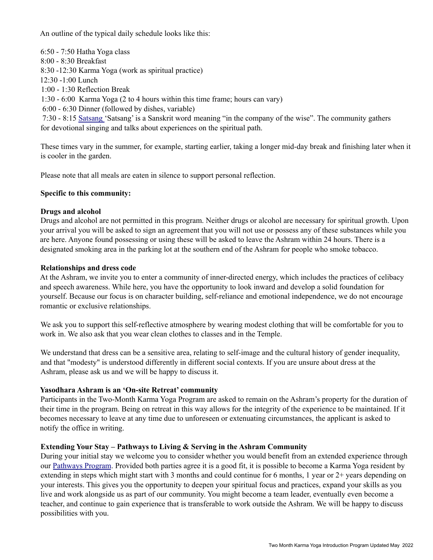An outline of the typical daily schedule looks like this:

6:50 - 7:50 Hatha Yoga class 8:00 - 8:30 Breakfast 8:30 -12:30 Karma Yoga (work as spiritual practice) 12:30 -1:00 Lunch 1:00 - 1:30 Reflection Break 1:30 - 6:00 Karma Yoga (2 to 4 hours within this time frame; hours can vary) 6:00 - 6:30 Dinner (followed by dishes, variable) 7:30 - 8:15 Satsang 'Satsang' is a Sanskrit word meaning "in the company of the wise". The community gathers for devotional singing and talks about experiences on the spiritual path.

These times vary in the summer, for example, starting earlier, taking a longer mid-day break and finishing later when it is cooler in the garden.

Please note that all meals are eaten in silence to support personal reflection.

## **Specific to this community:**

## **Drugs and alcohol**

Drugs and alcohol are not permitted in this program. Neither drugs or alcohol are necessary for spiritual growth. Upon your arrival you will be asked to sign an agreement that you will not use or possess any of these substances while you are here. Anyone found possessing or using these will be asked to leave the Ashram within 24 hours. There is a designated smoking area in the parking lot at the southern end of the Ashram for people who smoke tobacco.

## **Relationships and dress code**

At the Ashram, we invite you to enter a community of inner-directed energy, which includes the practices of celibacy and speech awareness. While here, you have the opportunity to look inward and develop a solid foundation for yourself. Because our focus is on character building, self-reliance and emotional independence, we do not encourage romantic or exclusive relationships.

We ask you to support this self-reflective atmosphere by wearing modest clothing that will be comfortable for you to work in. We also ask that you wear clean clothes to classes and in the Temple.

We understand that dress can be a sensitive area, relating to self-image and the cultural history of gender inequality, and that "modesty" is understood differently in different social contexts. If you are unsure about dress at the Ashram, please ask us and we will be happy to discuss it.

## **Yasodhara Ashram is an 'On-site Retreat' community**

Participants in the Two-Month Karma Yoga Program are asked to remain on the Ashram's property for the duration of their time in the program. Being on retreat in this way allows for the integrity of the experience to be maintained. If it becomes necessary to leave at any time due to unforeseen or extenuating circumstances, the applicant is asked to notify the office in writing.

## **Extending Your Stay – Pathways to Living & Serving in the Ashram Community**

During your initial stay we welcome you to consider whether you would benefit from an extended experience through our Pathways Program. Provided both parties agree it is a good fit, it is possible to become a Karma Yoga resident by extending in steps which might start with 3 months and could continue for 6 months, 1 year or 2+ years depending on your interests. This gives you the opportunity to deepen your spiritual focus and practices, expand your skills as you live and work alongside us as part of our community. You might become a team leader, eventually even become a teacher, and continue to gain experience that is transferable to work outside the Ashram. We will be happy to discuss possibilities with you.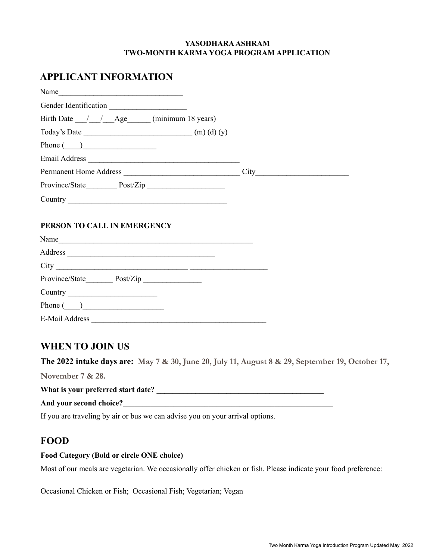## **YASODHARAASHRAM TWO-MONTH KARMA YOGA PROGRAM APPLICATION**

# **APPLICANT INFORMATION**

| Name                                                 |  |
|------------------------------------------------------|--|
| Gender Identification                                |  |
| Birth Date / / Age (minimum 18 years)                |  |
| Today's Date $\qquad (m)$ (d) (y)                    |  |
| Phone $\qquad)$                                      |  |
|                                                      |  |
| Permanent Home Address                               |  |
|                                                      |  |
| Country <u>Country</u>                               |  |
|                                                      |  |
| PERSON TO CALL IN EMERGENCY                          |  |
|                                                      |  |
|                                                      |  |
|                                                      |  |
|                                                      |  |
|                                                      |  |
| Phone $\begin{pmatrix} 1 & 1 \\ 1 & 1 \end{pmatrix}$ |  |
| <b>E-Mail Address</b>                                |  |

# **WHEN TO JOIN US**

**The 2022 intake days are: May 7 & 30, June 20, July 11, August 8 & 29, September 19, October 17,**

**November 7 & 28.**

**What is your preferred start date? \_\_\_\_\_\_\_\_\_\_\_\_\_\_\_\_\_\_\_\_\_\_\_\_\_\_\_\_\_\_\_\_\_\_\_\_\_\_\_\_\_\_\_**

**And your second choice?\_\_\_\_\_\_\_\_\_\_\_\_\_\_\_\_\_\_\_\_\_\_\_\_\_\_\_\_\_\_\_\_\_\_\_\_\_\_\_\_\_\_\_\_\_\_\_\_\_\_\_\_\_\_**

If you are traveling by air or bus we can advise you on your arrival options.

# **FOOD**

## **Food Category (Bold or circle ONE choice)**

Most of our meals are vegetarian. We occasionally offer chicken or fish. Please indicate your food preference:

Occasional Chicken or Fish; Occasional Fish; Vegetarian; Vegan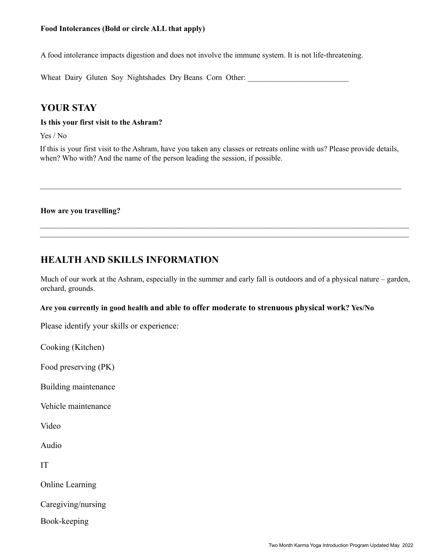A food intolerance impacts digestion and does not involve the immune system. It is not life-threatening.

Wheat Dairy Gluten Soy Nightshades Dry Beans Corn Other:

# **YOUR STAY**

## **Is this your first visit to the Ashram?**

Yes / No

If this is your first visit to the Ashram, have you taken any classes or retreats online with us? Please provide details, when? Who with? And the name of the person leading the session, if possible.

 $\_$ 

## **How are you travelling?**

# **HEALTH AND SKILLS INFORMATION**

Much of our work at the Ashram, especially in the summer and early fall is outdoors and of a physical nature – garden, orchard, grounds.

 $\mathcal{L}_\mathcal{L} = \mathcal{L}_\mathcal{L} = \mathcal{L}_\mathcal{L} = \mathcal{L}_\mathcal{L} = \mathcal{L}_\mathcal{L} = \mathcal{L}_\mathcal{L} = \mathcal{L}_\mathcal{L} = \mathcal{L}_\mathcal{L} = \mathcal{L}_\mathcal{L} = \mathcal{L}_\mathcal{L} = \mathcal{L}_\mathcal{L} = \mathcal{L}_\mathcal{L} = \mathcal{L}_\mathcal{L} = \mathcal{L}_\mathcal{L} = \mathcal{L}_\mathcal{L} = \mathcal{L}_\mathcal{L} = \mathcal{L}_\mathcal{L}$ 

# **Are you currently in good health and able to offer moderate to strenuous physical work? Yes/No**

Please identify your skills or experience:

Cooking (Kitchen)

Food preserving (PK)

Building maintenance

Vehicle maintenance

Video

Audio

IT

Online Learning

Caregiving/nursing

Book-keeping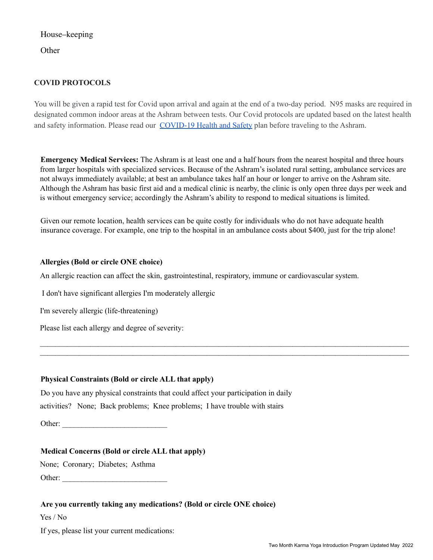House–keeping

**Other** 

# **COVID PROTOCOLS**

You will be given a rapid test for Covid upon arrival and again at the end of a two-day period. N95 masks are required in designated common indoor areas at the Ashram between tests. Our Covid protocols are updated based on the latest health and safety information. Please read our [COVID-19](https://www.yasodhara.org/coronavirus-covid-19-update/) Health and Safety plan before traveling to the Ashram.

**Emergency Medical Services:** The Ashram is at least one and a half hours from the nearest hospital and three hours from larger hospitals with specialized services. Because of the Ashram's isolated rural setting, ambulance services are not always immediately available; at best an ambulance takes half an hour or longer to arrive on the Ashram site. Although the Ashram has basic first aid and a medical clinic is nearby, the clinic is only open three days per week and is without emergency service; accordingly the Ashram's ability to respond to medical situations is limited.

Given our remote location, health services can be quite costly for individuals who do not have adequate health insurance coverage. For example, one trip to the hospital in an ambulance costs about \$400, just for the trip alone!

 $\mathcal{L}_\mathcal{L} = \mathcal{L}_\mathcal{L} = \mathcal{L}_\mathcal{L} = \mathcal{L}_\mathcal{L} = \mathcal{L}_\mathcal{L} = \mathcal{L}_\mathcal{L} = \mathcal{L}_\mathcal{L} = \mathcal{L}_\mathcal{L} = \mathcal{L}_\mathcal{L} = \mathcal{L}_\mathcal{L} = \mathcal{L}_\mathcal{L} = \mathcal{L}_\mathcal{L} = \mathcal{L}_\mathcal{L} = \mathcal{L}_\mathcal{L} = \mathcal{L}_\mathcal{L} = \mathcal{L}_\mathcal{L} = \mathcal{L}_\mathcal{L}$ 

# **Allergies (Bold or circle ONE choice)**

An allergic reaction can affect the skin, gastrointestinal, respiratory, immune or cardiovascular system.

I don't have significant allergies I'm moderately allergic

I'm severely allergic (life-threatening)

Please list each allergy and degree of severity:

# **Physical Constraints (Bold or circle ALL that apply)**

Do you have any physical constraints that could affect your participation in daily activities? None; Back problems; Knee problems; I have trouble with stairs

Other: \_\_\_\_\_\_\_\_\_\_\_\_\_\_\_\_\_\_\_\_\_\_\_\_\_\_\_

## **Medical Concerns (Bold or circle ALL that apply)**

None; Coronary; Diabetes; Asthma

Other: \_\_\_\_\_\_\_\_\_\_\_\_\_\_\_\_\_\_\_\_\_\_\_\_\_\_\_

# **Are you currently taking any medications? (Bold or circle ONE choice)**

Yes / No

If yes, please list your current medications: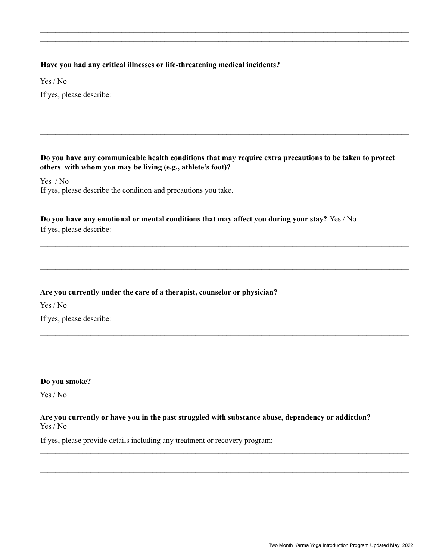## **Have you had any critical illnesses or life-threatening medical incidents?**

Yes / No

If yes, please describe:

## **Do you have any communicable health conditions that may require extra precautions to be taken to protect others with whom you may be living (e.g., athlete's foot)?**

 $\mathcal{L}_\mathcal{L} = \mathcal{L}_\mathcal{L} = \mathcal{L}_\mathcal{L} = \mathcal{L}_\mathcal{L} = \mathcal{L}_\mathcal{L} = \mathcal{L}_\mathcal{L} = \mathcal{L}_\mathcal{L} = \mathcal{L}_\mathcal{L} = \mathcal{L}_\mathcal{L} = \mathcal{L}_\mathcal{L} = \mathcal{L}_\mathcal{L} = \mathcal{L}_\mathcal{L} = \mathcal{L}_\mathcal{L} = \mathcal{L}_\mathcal{L} = \mathcal{L}_\mathcal{L} = \mathcal{L}_\mathcal{L} = \mathcal{L}_\mathcal{L}$ 

 $\_$ 

 $\mathcal{L}_\mathcal{L} = \mathcal{L}_\mathcal{L} = \mathcal{L}_\mathcal{L} = \mathcal{L}_\mathcal{L} = \mathcal{L}_\mathcal{L} = \mathcal{L}_\mathcal{L} = \mathcal{L}_\mathcal{L} = \mathcal{L}_\mathcal{L} = \mathcal{L}_\mathcal{L} = \mathcal{L}_\mathcal{L} = \mathcal{L}_\mathcal{L} = \mathcal{L}_\mathcal{L} = \mathcal{L}_\mathcal{L} = \mathcal{L}_\mathcal{L} = \mathcal{L}_\mathcal{L} = \mathcal{L}_\mathcal{L} = \mathcal{L}_\mathcal{L}$ 

 $\mathcal{L}_\mathcal{L} = \mathcal{L}_\mathcal{L} = \mathcal{L}_\mathcal{L} = \mathcal{L}_\mathcal{L} = \mathcal{L}_\mathcal{L} = \mathcal{L}_\mathcal{L} = \mathcal{L}_\mathcal{L} = \mathcal{L}_\mathcal{L} = \mathcal{L}_\mathcal{L} = \mathcal{L}_\mathcal{L} = \mathcal{L}_\mathcal{L} = \mathcal{L}_\mathcal{L} = \mathcal{L}_\mathcal{L} = \mathcal{L}_\mathcal{L} = \mathcal{L}_\mathcal{L} = \mathcal{L}_\mathcal{L} = \mathcal{L}_\mathcal{L}$ 

 $\mathcal{L}_\mathcal{L} = \mathcal{L}_\mathcal{L} = \mathcal{L}_\mathcal{L} = \mathcal{L}_\mathcal{L} = \mathcal{L}_\mathcal{L} = \mathcal{L}_\mathcal{L} = \mathcal{L}_\mathcal{L} = \mathcal{L}_\mathcal{L} = \mathcal{L}_\mathcal{L} = \mathcal{L}_\mathcal{L} = \mathcal{L}_\mathcal{L} = \mathcal{L}_\mathcal{L} = \mathcal{L}_\mathcal{L} = \mathcal{L}_\mathcal{L} = \mathcal{L}_\mathcal{L} = \mathcal{L}_\mathcal{L} = \mathcal{L}_\mathcal{L}$ 

 $\mathcal{L}_\mathcal{L} = \mathcal{L}_\mathcal{L} = \mathcal{L}_\mathcal{L} = \mathcal{L}_\mathcal{L} = \mathcal{L}_\mathcal{L} = \mathcal{L}_\mathcal{L} = \mathcal{L}_\mathcal{L} = \mathcal{L}_\mathcal{L} = \mathcal{L}_\mathcal{L} = \mathcal{L}_\mathcal{L} = \mathcal{L}_\mathcal{L} = \mathcal{L}_\mathcal{L} = \mathcal{L}_\mathcal{L} = \mathcal{L}_\mathcal{L} = \mathcal{L}_\mathcal{L} = \mathcal{L}_\mathcal{L} = \mathcal{L}_\mathcal{L}$ 

 $\mathcal{L}_\mathcal{L} = \mathcal{L}_\mathcal{L} = \mathcal{L}_\mathcal{L} = \mathcal{L}_\mathcal{L} = \mathcal{L}_\mathcal{L} = \mathcal{L}_\mathcal{L} = \mathcal{L}_\mathcal{L} = \mathcal{L}_\mathcal{L} = \mathcal{L}_\mathcal{L} = \mathcal{L}_\mathcal{L} = \mathcal{L}_\mathcal{L} = \mathcal{L}_\mathcal{L} = \mathcal{L}_\mathcal{L} = \mathcal{L}_\mathcal{L} = \mathcal{L}_\mathcal{L} = \mathcal{L}_\mathcal{L} = \mathcal{L}_\mathcal{L}$ 

Yes / No If yes, please describe the condition and precautions you take.

# **Do you have any emotional or mental conditions that may affect you during your stay?** Yes / No

If yes, please describe:

## **Are you currently under the care of a therapist, counselor or physician?**

Yes / No If yes, please describe:

## **Do you smoke?**

Yes / No

## **Are you currently or have you in the past struggled with substance abuse, dependency or addiction?** Yes / No

If yes, please provide details including any treatment or recovery program: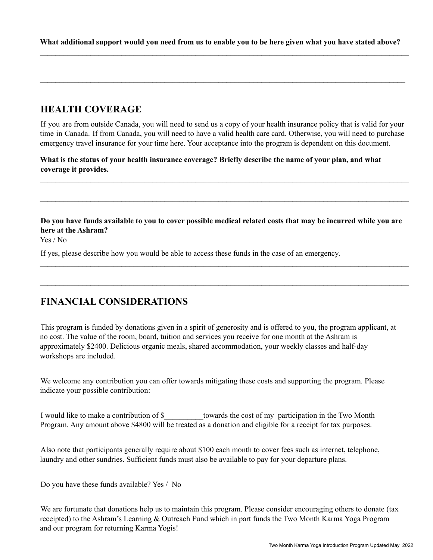$\mathcal{L}_\mathcal{L} = \mathcal{L}_\mathcal{L} = \mathcal{L}_\mathcal{L} = \mathcal{L}_\mathcal{L} = \mathcal{L}_\mathcal{L} = \mathcal{L}_\mathcal{L} = \mathcal{L}_\mathcal{L} = \mathcal{L}_\mathcal{L} = \mathcal{L}_\mathcal{L} = \mathcal{L}_\mathcal{L} = \mathcal{L}_\mathcal{L} = \mathcal{L}_\mathcal{L} = \mathcal{L}_\mathcal{L} = \mathcal{L}_\mathcal{L} = \mathcal{L}_\mathcal{L} = \mathcal{L}_\mathcal{L} = \mathcal{L}_\mathcal{L}$ 

 $\_$ 

# **HEALTH COVERAGE**

If you are from outside Canada, you will need to send us a copy of your health insurance policy that is valid for your time in Canada. If from Canada, you will need to have a valid health care card. Otherwise, you will need to purchase emergency travel insurance for your time here. Your acceptance into the program is dependent on this document.

 $\mathcal{L}_\mathcal{L} = \mathcal{L}_\mathcal{L} = \mathcal{L}_\mathcal{L} = \mathcal{L}_\mathcal{L} = \mathcal{L}_\mathcal{L} = \mathcal{L}_\mathcal{L} = \mathcal{L}_\mathcal{L} = \mathcal{L}_\mathcal{L} = \mathcal{L}_\mathcal{L} = \mathcal{L}_\mathcal{L} = \mathcal{L}_\mathcal{L} = \mathcal{L}_\mathcal{L} = \mathcal{L}_\mathcal{L} = \mathcal{L}_\mathcal{L} = \mathcal{L}_\mathcal{L} = \mathcal{L}_\mathcal{L} = \mathcal{L}_\mathcal{L}$ 

 $\mathcal{L}_\mathcal{L} = \mathcal{L}_\mathcal{L} = \mathcal{L}_\mathcal{L} = \mathcal{L}_\mathcal{L} = \mathcal{L}_\mathcal{L} = \mathcal{L}_\mathcal{L} = \mathcal{L}_\mathcal{L} = \mathcal{L}_\mathcal{L} = \mathcal{L}_\mathcal{L} = \mathcal{L}_\mathcal{L} = \mathcal{L}_\mathcal{L} = \mathcal{L}_\mathcal{L} = \mathcal{L}_\mathcal{L} = \mathcal{L}_\mathcal{L} = \mathcal{L}_\mathcal{L} = \mathcal{L}_\mathcal{L} = \mathcal{L}_\mathcal{L}$ 

What is the status of your health insurance coverage? Briefly describe the name of your plan, and what **coverage it provides.**

Do you have funds available to you to cover possible medical related costs that may be incurred while you are **here at the Ashram?**

 $\mathcal{L}_\mathcal{L} = \mathcal{L}_\mathcal{L} = \mathcal{L}_\mathcal{L} = \mathcal{L}_\mathcal{L} = \mathcal{L}_\mathcal{L} = \mathcal{L}_\mathcal{L} = \mathcal{L}_\mathcal{L} = \mathcal{L}_\mathcal{L} = \mathcal{L}_\mathcal{L} = \mathcal{L}_\mathcal{L} = \mathcal{L}_\mathcal{L} = \mathcal{L}_\mathcal{L} = \mathcal{L}_\mathcal{L} = \mathcal{L}_\mathcal{L} = \mathcal{L}_\mathcal{L} = \mathcal{L}_\mathcal{L} = \mathcal{L}_\mathcal{L}$ 

 $\mathcal{L}_\mathcal{L} = \mathcal{L}_\mathcal{L} = \mathcal{L}_\mathcal{L} = \mathcal{L}_\mathcal{L} = \mathcal{L}_\mathcal{L} = \mathcal{L}_\mathcal{L} = \mathcal{L}_\mathcal{L} = \mathcal{L}_\mathcal{L} = \mathcal{L}_\mathcal{L} = \mathcal{L}_\mathcal{L} = \mathcal{L}_\mathcal{L} = \mathcal{L}_\mathcal{L} = \mathcal{L}_\mathcal{L} = \mathcal{L}_\mathcal{L} = \mathcal{L}_\mathcal{L} = \mathcal{L}_\mathcal{L} = \mathcal{L}_\mathcal{L}$ 

Yes / No

If yes, please describe how you would be able to access these funds in the case of an emergency.

# **FINANCIAL CONSIDERATIONS**

This program is funded by donations given in a spirit of generosity and is offered to you, the program applicant, at no cost. The value of the room, board, tuition and services you receive for one month at the Ashram is approximately \$2400. Delicious organic meals, shared accommodation, your weekly classes and half-day workshops are included.

We welcome any contribution you can offer towards mitigating these costs and supporting the program. Please indicate your possible contribution:

I would like to make a contribution of \$\_\_\_\_\_\_\_\_\_\_towards the cost of my participation in the Two Month Program. Any amount above \$4800 will be treated as a donation and eligible for a receipt for tax purposes.

Also note that participants generally require about \$100 each month to cover fees such as internet, telephone, laundry and other sundries. Sufficient funds must also be available to pay for your departure plans.

Do you have these funds available? Yes / No

We are fortunate that donations help us to maintain this program. Please consider encouraging others to donate (tax receipted) to the Ashram's Learning & Outreach Fund which in part funds the Two Month Karma Yoga Program and our program for returning Karma Yogis!